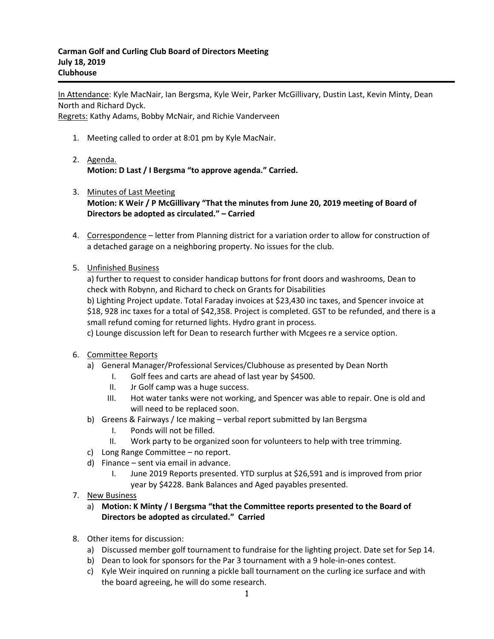In Attendance: Kyle MacNair, Ian Bergsma, Kyle Weir, Parker McGillivary, Dustin Last, Kevin Minty, Dean North and Richard Dyck.

Regrets: Kathy Adams, Bobby McNair, and Richie Vanderveen

- 1. Meeting called to order at 8:01 pm by Kyle MacNair.
- 2. Agenda. **Motion: D Last / I Bergsma "to approve agenda." Carried.**
- 3. Minutes of Last Meeting **Motion: K Weir / P McGillivary "That the minutes from June 20, 2019 meeting of Board of Directors be adopted as circulated." – Carried**
- 4. Correspondence letter from Planning district for a variation order to allow for construction of a detached garage on a neighboring property. No issues for the club.
- 5. Unfinished Business

a) further to request to consider handicap buttons for front doors and washrooms, Dean to check with Robynn, and Richard to check on Grants for Disabilities

b) Lighting Project update. Total Faraday invoices at \$23,430 inc taxes, and Spencer invoice at \$18, 928 inc taxes for a total of \$42,358. Project is completed. GST to be refunded, and there is a small refund coming for returned lights. Hydro grant in process.

c) Lounge discussion left for Dean to research further with Mcgees re a service option.

- 6. Committee Reports
	- a) General Manager/Professional Services/Clubhouse as presented by Dean North
		- I. Golf fees and carts are ahead of last year by \$4500.
		- II. Jr Golf camp was a huge success.
		- III. Hot water tanks were not working, and Spencer was able to repair. One is old and will need to be replaced soon.
	- b) Greens & Fairways / Ice making verbal report submitted by Ian Bergsma
		- I. Ponds will not be filled.
		- II. Work party to be organized soon for volunteers to help with tree trimming.
	- c) Long Range Committee no report.
	- d) Finance sent via email in advance.
		- I. June 2019 Reports presented. YTD surplus at \$26,591 and is improved from prior year by \$4228. Bank Balances and Aged payables presented.
- 7. New Business
	- a) **Motion: K Minty / I Bergsma "that the Committee reports presented to the Board of Directors be adopted as circulated." Carried**
- 8. Other items for discussion:
	- a) Discussed member golf tournament to fundraise for the lighting project. Date set for Sep 14.
	- b) Dean to look for sponsors for the Par 3 tournament with a 9 hole-in-ones contest.
	- c) Kyle Weir inquired on running a pickle ball tournament on the curling ice surface and with the board agreeing, he will do some research.